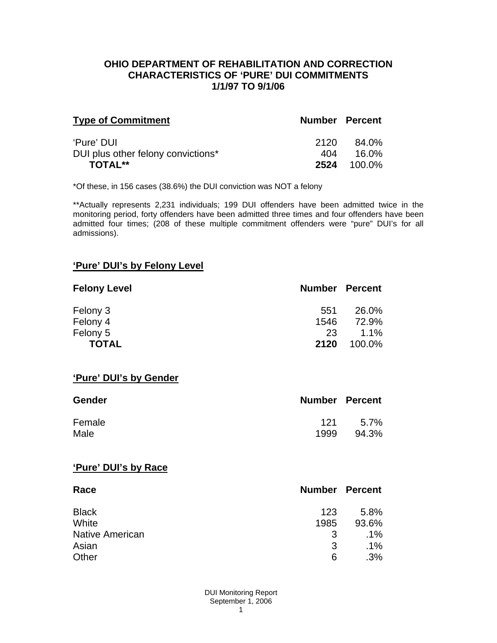#### **OHIO DEPARTMENT OF REHABILITATION AND CORRECTION CHARACTERISTICS OF 'PURE' DUI COMMITMENTS 1/1/97 TO 9/1/06**

| <b>Type of Commitment</b>          | <b>Number Percent</b> |        |
|------------------------------------|-----------------------|--------|
| 'Pure' DUI                         | 2120                  | 84.0%  |
| DUI plus other felony convictions* | 404                   | 16.0%  |
| TOTAL**                            | 2524                  | 100.0% |

\*Of these, in 156 cases (38.6%) the DUI conviction was NOT a felony

\*\*Actually represents 2,231 individuals; 199 DUI offenders have been admitted twice in the monitoring period, forty offenders have been admitted three times and four offenders have been admitted four times; (208 of these multiple commitment offenders were "pure" DUI's for all admissions).

### **'Pure' DUI's by Felony Level**

| <b>Felony Level</b> | <b>Number Percent</b> |         |
|---------------------|-----------------------|---------|
| Felony 3            | 551                   | 26.0%   |
| Felony 4            | 1546                  | 72.9%   |
| Felony 5            | 23                    | $1.1\%$ |
| <b>TOTAL</b>        | 2120                  | 100.0%  |

#### **'Pure' DUI's by Gender**

| <b>Gender</b> | <b>Number Percent</b> |       |
|---------------|-----------------------|-------|
| Female        | 121                   | 5.7%  |
| Male          | 1999                  | 94.3% |

#### **'Pure' DUI's by Race**

| Race                   | <b>Number Percent</b> |        |
|------------------------|-----------------------|--------|
| <b>Black</b>           | 123                   | 5.8%   |
| White                  | 1985                  | 93.6%  |
| <b>Native American</b> | 3                     | .1%    |
| Asian                  | 3                     | $.1\%$ |
| Other                  | 6                     | .3%    |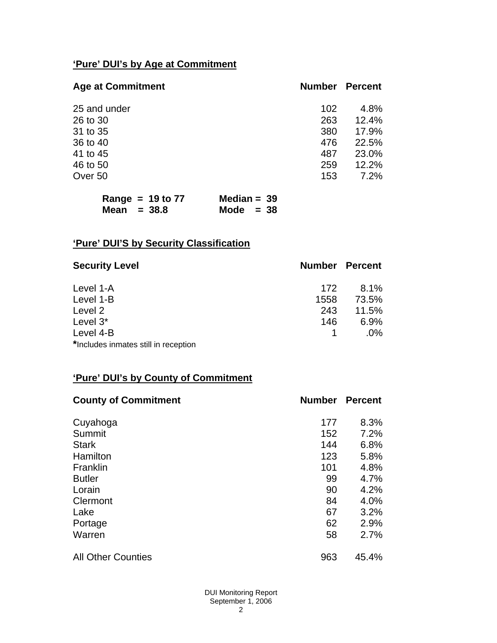# **'Pure' DUI's by Age at Commitment**

| <b>Age at Commitment</b> | <b>Number</b> | <b>Percent</b> |
|--------------------------|---------------|----------------|
| 25 and under             | 102           | 4.8%           |
| 26 to 30                 | 263           | 12.4%          |
| 31 to 35                 | 380           | 17.9%          |
| 36 to 40                 | 476           | 22.5%          |
| 41 to 45                 | 487           | 23.0%          |
| 46 to 50                 | 259           | 12.2%          |
| Over 50                  | 153           | 7.2%           |

| Range = $19$ to $77$ | Median = $39$ |
|----------------------|---------------|
| Mean $= 38.8$        | Mode $= 38$   |

# **'Pure' DUI'S by Security Classification**

| <b>Security Level</b>                | <b>Number Percent</b> |        |
|--------------------------------------|-----------------------|--------|
| Level 1-A                            | 172                   | 8.1%   |
| Level 1-B                            | 1558                  | 73.5%  |
| Level 2                              | 243                   | 11.5%  |
| Level 3*                             | 146                   | 6.9%   |
| Level 4-B                            |                       | $.0\%$ |
| *Includes inmates still in reception |                       |        |

# **'Pure' DUI's by County of Commitment**

| <b>County of Commitment</b> | <b>Number</b> | <b>Percent</b> |
|-----------------------------|---------------|----------------|
| Cuyahoga                    | 177           | 8.3%           |
| Summit                      | 152           | 7.2%           |
| <b>Stark</b>                | 144           | 6.8%           |
| Hamilton                    | 123           | 5.8%           |
| Franklin                    | 101           | 4.8%           |
| <b>Butler</b>               | 99            | 4.7%           |
| Lorain                      | 90            | 4.2%           |
| Clermont                    | 84            | 4.0%           |
| Lake                        | 67            | 3.2%           |
| Portage                     | 62            | 2.9%           |
| Warren                      | 58            | 2.7%           |
| <b>All Other Counties</b>   | 963           | 45.4%          |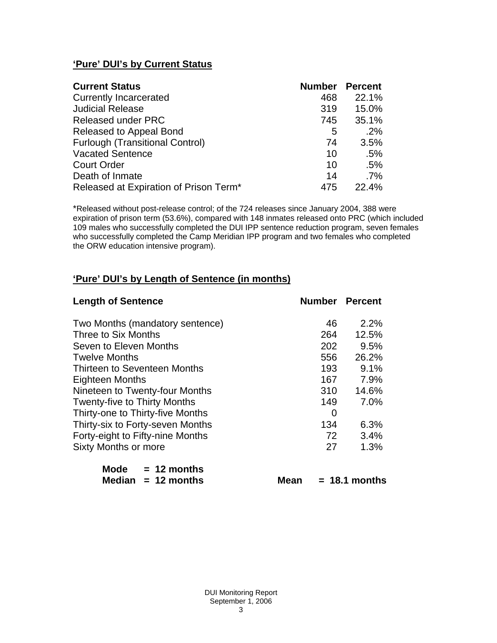# **'Pure' DUI's by Current Status**

| <b>Current Status</b>                  | <b>Number</b> | <b>Percent</b> |
|----------------------------------------|---------------|----------------|
| <b>Currently Incarcerated</b>          | 468           | 22.1%          |
| <b>Judicial Release</b>                | 319           | 15.0%          |
| <b>Released under PRC</b>              | 745           | 35.1%          |
| Released to Appeal Bond                | 5             | .2%            |
| <b>Furlough (Transitional Control)</b> | 74            | 3.5%           |
| <b>Vacated Sentence</b>                | 10            | .5%            |
| <b>Court Order</b>                     | 10            | .5%            |
| Death of Inmate                        | 14            | $.7\%$         |
| Released at Expiration of Prison Term* | 475           | 22.4%          |

\*Released without post-release control; of the 724 releases since January 2004, 388 were expiration of prison term (53.6%), compared with 148 inmates released onto PRC (which included 109 males who successfully completed the DUI IPP sentence reduction program, seven females who successfully completed the Camp Meridian IPP program and two females who completed the ORW education intensive program).

# **'Pure' DUI's by Length of Sentence (in months)**

| <b>Length of Sentence</b>           | <b>Number Percent</b> |                 |
|-------------------------------------|-----------------------|-----------------|
| Two Months (mandatory sentence)     | 46                    | $2.2\%$         |
| Three to Six Months                 | 264                   | 12.5%           |
| Seven to Eleven Months              | 202                   | 9.5%            |
| <b>Twelve Months</b>                | 556                   | 26.2%           |
| Thirteen to Seventeen Months        | 193                   | 9.1%            |
| <b>Eighteen Months</b>              | 167                   | 7.9%            |
| Nineteen to Twenty-four Months      | 310                   | 14.6%           |
| <b>Twenty-five to Thirty Months</b> | 149                   | 7.0%            |
| Thirty-one to Thirty-five Months    | 0                     |                 |
| Thirty-six to Forty-seven Months    | 134                   | 6.3%            |
| Forty-eight to Fifty-nine Months    | 72                    | 3.4%            |
| <b>Sixty Months or more</b>         | 27                    | 1.3%            |
| Mode $= 12$ months                  |                       |                 |
| Median<br>$= 12$ months<br>Mean     |                       | $= 18.1$ months |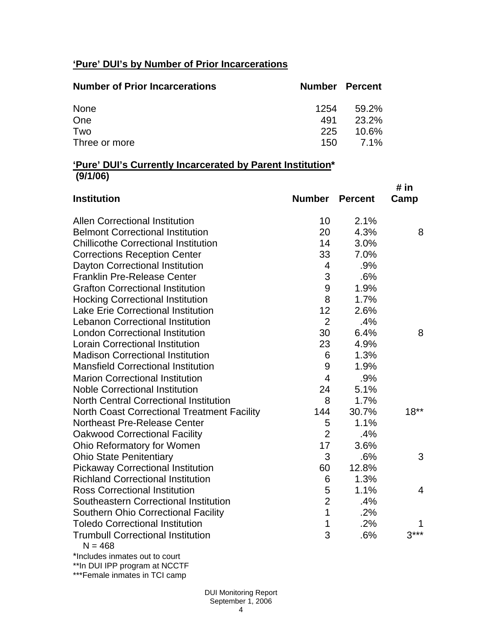# **'Pure' DUI's by Number of Prior Incarcerations**

| <b>Number of Prior Incarcerations</b> | <b>Number Percent</b> |       |
|---------------------------------------|-----------------------|-------|
| None                                  | 1254                  | 59.2% |
| One                                   | 491                   | 23.2% |
| Two                                   | 225                   | 10.6% |
| Three or more                         | 150 -                 | 7.1%  |

#### **'Pure' DUI's Currently Incarcerated by Parent Institution\* (9/1/06)**

| <b>Institution</b>                                    | <b>Number</b>  | <b>Percent</b> | # in<br>Camp |
|-------------------------------------------------------|----------------|----------------|--------------|
| <b>Allen Correctional Institution</b>                 | 10             | 2.1%           |              |
| <b>Belmont Correctional Institution</b>               | 20             | 4.3%           | 8            |
| <b>Chillicothe Correctional Institution</b>           | 14             | 3.0%           |              |
| <b>Corrections Reception Center</b>                   | 33             | 7.0%           |              |
| Dayton Correctional Institution                       | $\overline{4}$ | .9%            |              |
| <b>Franklin Pre-Release Center</b>                    | 3              | .6%            |              |
| <b>Grafton Correctional Institution</b>               | 9              | 1.9%           |              |
| <b>Hocking Correctional Institution</b>               | 8              | 1.7%           |              |
| <b>Lake Erie Correctional Institution</b>             | 12             | 2.6%           |              |
| <b>Lebanon Correctional Institution</b>               | $\overline{2}$ | .4%            |              |
| <b>London Correctional Institution</b>                | 30             | 6.4%           | 8            |
| <b>Lorain Correctional Institution</b>                | 23             | 4.9%           |              |
| <b>Madison Correctional Institution</b>               | 6              | 1.3%           |              |
| <b>Mansfield Correctional Institution</b>             | 9              | 1.9%           |              |
| <b>Marion Correctional Institution</b>                | $\overline{4}$ | .9%            |              |
| <b>Noble Correctional Institution</b>                 | 24             | 5.1%           |              |
| <b>North Central Correctional Institution</b>         | 8              | 1.7%           |              |
| <b>North Coast Correctional Treatment Facility</b>    | 144            | 30.7%          | $18**$       |
| Northeast Pre-Release Center                          | 5              | 1.1%           |              |
| <b>Oakwood Correctional Facility</b>                  | $\overline{2}$ | .4%            |              |
| Ohio Reformatory for Women                            | 17             | 3.6%           |              |
| <b>Ohio State Penitentiary</b>                        | 3              | .6%            | 3            |
| <b>Pickaway Correctional Institution</b>              | 60             | 12.8%          |              |
| <b>Richland Correctional Institution</b>              | 6              | 1.3%           |              |
| <b>Ross Correctional Institution</b>                  | 5              | 1.1%           | 4            |
| Southeastern Correctional Institution                 | $\overline{2}$ | .4%            |              |
| <b>Southern Ohio Correctional Facility</b>            | $\mathbf{1}$   | .2%            |              |
| <b>Toledo Correctional Institution</b>                | 1              | .2%            |              |
| <b>Trumbull Correctional Institution</b><br>$N = 468$ | 3              | .6%            | $3***$       |
| *Includes inmates out to court                        |                |                |              |

\*\*In DUI IPP program at NCCTF

\*\*\*Female inmates in TCI camp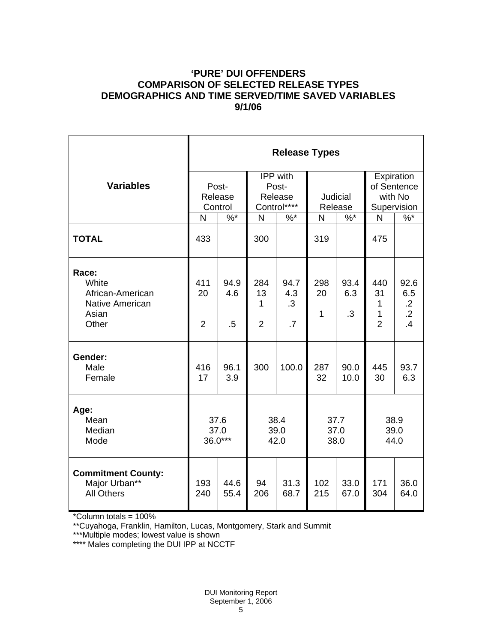### **'PURE' DUI OFFENDERS COMPARISON OF SELECTED RELEASE TYPES DEMOGRAPHICS AND TIME SERVED/TIME SAVED VARIABLES 9/1/06**

|                                                                                | <b>Release Types</b>        |                       |                                             |                                       |                      |                   |                                                     |                                                    |
|--------------------------------------------------------------------------------|-----------------------------|-----------------------|---------------------------------------------|---------------------------------------|----------------------|-------------------|-----------------------------------------------------|----------------------------------------------------|
| <b>Variables</b>                                                               | Post-<br>Release<br>Control |                       | IPP with<br>Post-<br>Release<br>Control**** |                                       | Judicial<br>Release  |                   | Expiration<br>of Sentence<br>with No<br>Supervision |                                                    |
|                                                                                | N                           | $\%$ *                | N                                           | $\%$ *                                | N                    | $\frac{9}{6}$ *   | N                                                   | $\frac{9}{6}$                                      |
| <b>TOTAL</b>                                                                   | 433                         |                       | 300                                         |                                       | 319                  |                   | 475                                                 |                                                    |
| Race:<br>White<br>African-American<br><b>Native American</b><br>Asian<br>Other | 411<br>20<br>$\overline{2}$ | 94.9<br>4.6<br>$.5\,$ | 284<br>13<br>1<br>$\overline{2}$            | 94.7<br>4.3<br>$\cdot$ 3<br>$\cdot$ 7 | 298<br>20<br>1       | 93.4<br>6.3<br>.3 | 440<br>31<br>$\mathbf{1}$<br>1<br>$\overline{2}$    | 92.6<br>6.5<br>$\cdot$ .2<br>$\overline{.2}$<br>.4 |
| Gender:<br>Male<br>Female                                                      | 416<br>17                   | 96.1<br>3.9           | 300                                         | 100.0                                 | 287<br>32            | 90.0<br>10.0      | 445<br>30                                           | 93.7<br>6.3                                        |
| Age:<br>Mean<br>Median<br>Mode                                                 | 37.6<br>37.0<br>36.0***     |                       | 38.4<br>39.0<br>42.0                        |                                       | 37.7<br>37.0<br>38.0 |                   | 38.9<br>39.0<br>44.0                                |                                                    |
| <b>Commitment County:</b><br>Major Urban**<br><b>All Others</b>                | 193<br>240                  | 44.6<br>55.4          | 94<br>206                                   | 31.3<br>68.7                          | 102<br>215           | 33.0<br>67.0      | 171<br>304                                          | 36.0<br>64.0                                       |

\*Column totals = 100%

\*\*Cuyahoga, Franklin, Hamilton, Lucas, Montgomery, Stark and Summit

\*\*\*Multiple modes; lowest value is shown

\*\*\*\* Males completing the DUI IPP at NCCTF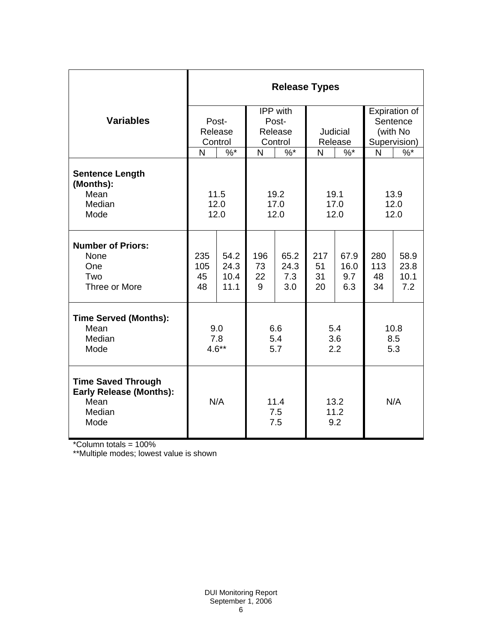|                                                                                       | <b>Release Types</b>   |                              |                      |                            |                       |                            |                        |                             |  |
|---------------------------------------------------------------------------------------|------------------------|------------------------------|----------------------|----------------------------|-----------------------|----------------------------|------------------------|-----------------------------|--|
|                                                                                       |                        |                              | IPP with             |                            |                       |                            |                        | Expiration of               |  |
| <b>Variables</b>                                                                      | Post-                  |                              | Post-                |                            |                       |                            |                        | Sentence                    |  |
|                                                                                       |                        | Release                      |                      | Release                    |                       | Judicial                   |                        | (with No                    |  |
|                                                                                       |                        | Control                      |                      | Control                    |                       | Release                    |                        | Supervision)                |  |
|                                                                                       | N                      | $%$ *                        | N                    | $%$ *                      | N                     | $%^*$                      | N                      | $\%$                        |  |
| <b>Sentence Length</b><br>(Months):                                                   |                        |                              |                      |                            |                       |                            |                        |                             |  |
| Mean                                                                                  | 11.5                   |                              |                      | 19.2                       |                       | 19.1                       |                        | 13.9                        |  |
| Median                                                                                | 12.0                   |                              | 17.0                 |                            | 17.0                  |                            | 12.0                   |                             |  |
| Mode                                                                                  | 12.0                   |                              | 12.0                 |                            | 12.0                  |                            | 12.0                   |                             |  |
| <b>Number of Priors:</b><br>None<br>One<br>Two<br>Three or More                       | 235<br>105<br>45<br>48 | 54.2<br>24.3<br>10.4<br>11.1 | 196<br>73<br>22<br>9 | 65.2<br>24.3<br>7.3<br>3.0 | 217<br>51<br>31<br>20 | 67.9<br>16.0<br>9.7<br>6.3 | 280<br>113<br>48<br>34 | 58.9<br>23.8<br>10.1<br>7.2 |  |
| <b>Time Served (Months):</b>                                                          |                        |                              |                      |                            |                       |                            |                        |                             |  |
| Mean                                                                                  | 9.0                    |                              | 6.6                  |                            | 5.4                   |                            | 10.8                   |                             |  |
| Median<br>Mode                                                                        | 7.8<br>$4.6**$         |                              | 5.4<br>5.7           |                            | 3.6<br>2.2            |                            | 8.5<br>5.3             |                             |  |
|                                                                                       |                        |                              |                      |                            |                       |                            |                        |                             |  |
| <b>Time Saved Through</b><br><b>Early Release (Months):</b><br>Mean<br>Median<br>Mode | N/A                    |                              | 11.4<br>7.5<br>7.5   |                            | 13.2<br>11.2<br>9.2   |                            | N/A                    |                             |  |

\*Column totals = 100%

\*\*Multiple modes; lowest value is shown